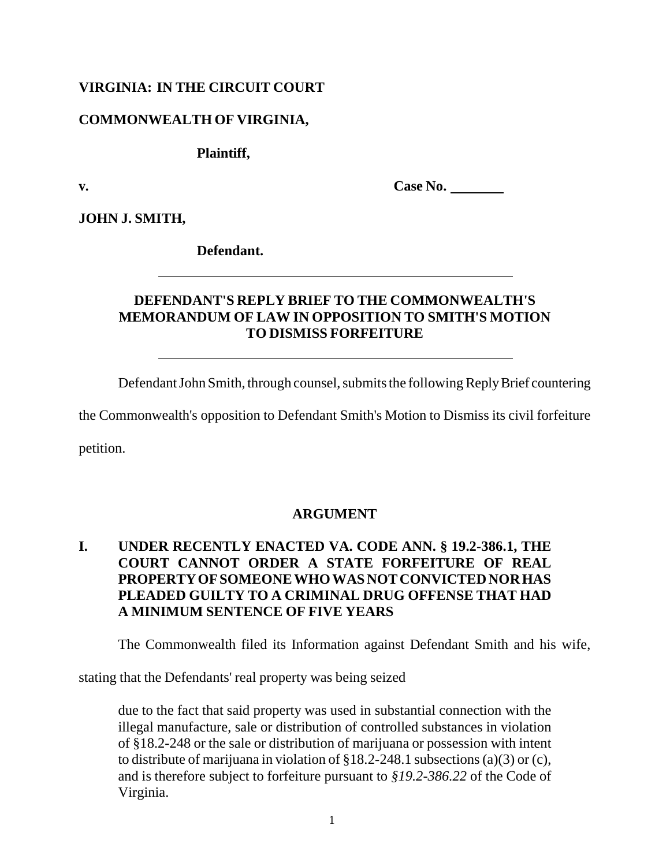## **VIRGINIA: IN THE CIRCUIT COURT**

## **COMMONWEALTH OF VIRGINIA,**

## **Plaintiff,**

**v. Case No.**

**JOHN J. SMITH,**

**Defendant.**

# **DEFENDANT'S REPLY BRIEF TO THE COMMONWEALTH'S MEMORANDUM OF LAW IN OPPOSITION TO SMITH'S MOTION TO DISMISS FORFEITURE**

Defendant John Smith, through counsel, submits the following Reply Brief countering

the Commonwealth's opposition to Defendant Smith's Motion to Dismiss its civil forfeiture

petition.

### **ARGUMENT**

# **I. UNDER RECENTLY ENACTED VA. CODE ANN. § 19.2-386.1, THE COURT CANNOT ORDER A STATE FORFEITURE OF REAL PROPERTYOFSOMEONEWHOWASNOTCONVICTEDNORHAS PLEADED GUILTY TO A CRIMINAL DRUG OFFENSE THAT HAD A MINIMUM SENTENCE OF FIVE YEARS**

The Commonwealth filed its Information against Defendant Smith and his wife,

stating that the Defendants' real property was being seized

due to the fact that said property was used in substantial connection with the illegal manufacture, sale or distribution of controlled substances in violation of §18.2-248 or the sale or distribution of marijuana or possession with intent to distribute of marijuana in violation of  $\S 18.2$ -248.1 subsections (a)(3) or (c), and is therefore subject to forfeiture pursuant to *§19.2-386.22* of the Code of Virginia.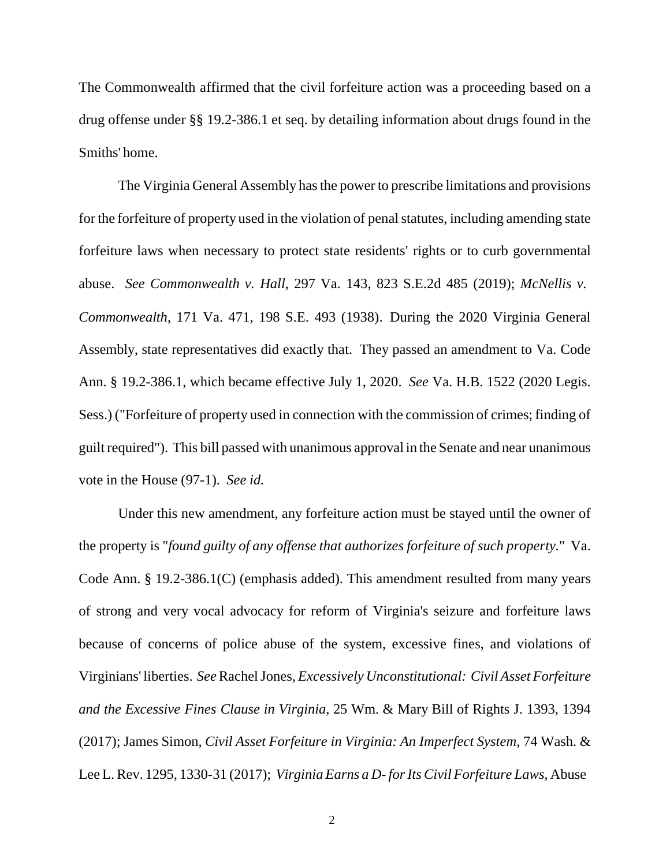The Commonwealth affirmed that the civil forfeiture action was a proceeding based on a drug offense under §§ 19.2-386.1 et seq. by detailing information about drugs found in the Smiths' home.

The Virginia General Assembly has the power to prescribe limitations and provisions for the forfeiture of property used in the violation of penal statutes, including amending state forfeiture laws when necessary to protect state residents' rights or to curb governmental abuse. *See Commonwealth v. Hall*, 297 Va. 143, 823 S.E.2d 485 (2019); *McNellis v. Commonwealth*, 171 Va. 471, 198 S.E. 493 (1938). During the 2020 Virginia General Assembly, state representatives did exactly that. They passed an amendment to Va. Code Ann. § 19.2-386.1, which became effective July 1, 2020. *See* Va. H.B. 1522 (2020 Legis. Sess.) ("Forfeiture of property used in connection with the commission of crimes; finding of guilt required"). This bill passed with unanimous approval in the Senate and near unanimous vote in the House (97-1). *See id.*

Under this new amendment, any forfeiture action must be stayed until the owner of the property is "*found guilty of any offense that authorizes forfeiture of such property.*" Va. Code Ann. § 19.2-386.1(C) (emphasis added). This amendment resulted from many years of strong and very vocal advocacy for reform of Virginia's seizure and forfeiture laws because of concerns of police abuse of the system, excessive fines, and violations of Virginians' liberties. *See*RachelJones, *Excessively Unconstitutional: Civil Asset Forfeiture and the Excessive Fines Clause in Virginia*, 25 Wm. & Mary Bill of Rights J. 1393, 1394 (2017); James Simon, *Civil Asset Forfeiture in Virginia: An Imperfect System*, 74 Wash. & Lee L. Rev. 1295, 1330-31 (2017); *Virginia Earns a D-forIts Civil Forfeiture Laws*, Abuse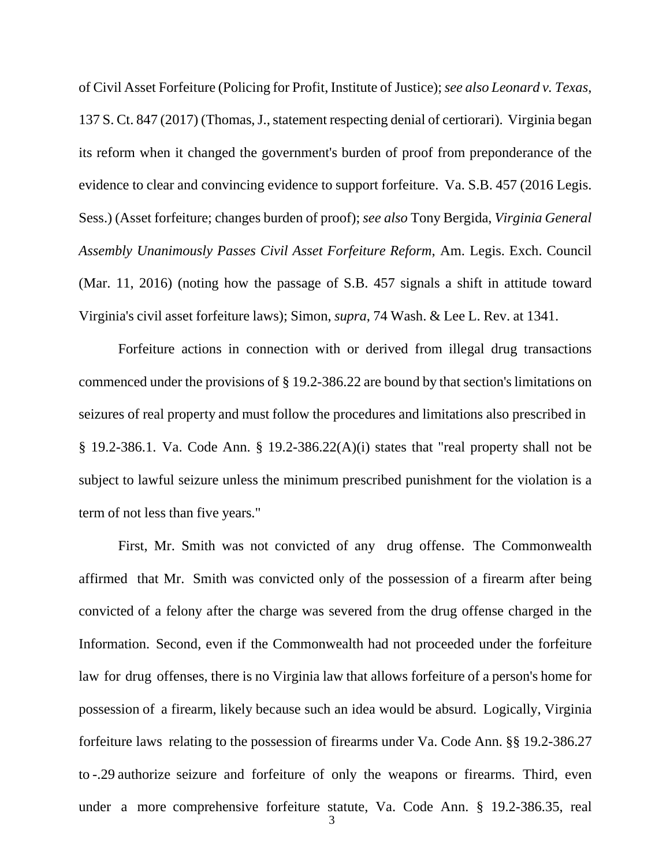of Civil Asset Forfeiture (Policing for Profit, Institute of Justice);*see also Leonard v. Texas*, 137 S. Ct. 847 (2017) (Thomas, J., statement respecting denial of certiorari). Virginia began its reform when it changed the government's burden of proof from preponderance of the evidence to clear and convincing evidence to support forfeiture. Va. S.B. 457 (2016 Legis. Sess.) (Asset forfeiture; changes burden of proof); *see also* Tony Bergida, *Virginia General Assembly Unanimously Passes Civil Asset Forfeiture Reform*, Am. Legis. Exch. Council (Mar. 11, 2016) (noting how the passage of S.B. 457 signals a shift in attitude toward Virginia's civil asset forfeiture laws); Simon, *supra*, 74 Wash. & Lee L. Rev. at 1341.

Forfeiture actions in connection with or derived from illegal drug transactions commenced under the provisions of § 19.2-386.22 are bound by that section's limitations on seizures of real property and must follow the procedures and limitations also prescribed in  $§$  19.2-386.1. Va. Code Ann.  $§$  19.2-386.22(A)(i) states that "real property shall not be subject to lawful seizure unless the minimum prescribed punishment for the violation is a term of not less than five years."

First, Mr. Smith was not convicted of any drug offense. The Commonwealth affirmed that Mr. Smith was convicted only of the possession of a firearm after being convicted of a felony after the charge was severed from the drug offense charged in the Information. Second, even if the Commonwealth had not proceeded under the forfeiture law for drug offenses, there is no Virginia law that allows forfeiture of a person's home for possession of a firearm, likely because such an idea would be absurd. Logically, Virginia forfeiture laws relating to the possession of firearms under Va. Code Ann. §§ 19.2-386.27 to -.29 authorize seizure and forfeiture of only the weapons or firearms. Third, even under a more comprehensive forfeiture statute, Va. Code Ann. § 19.2-386.35, real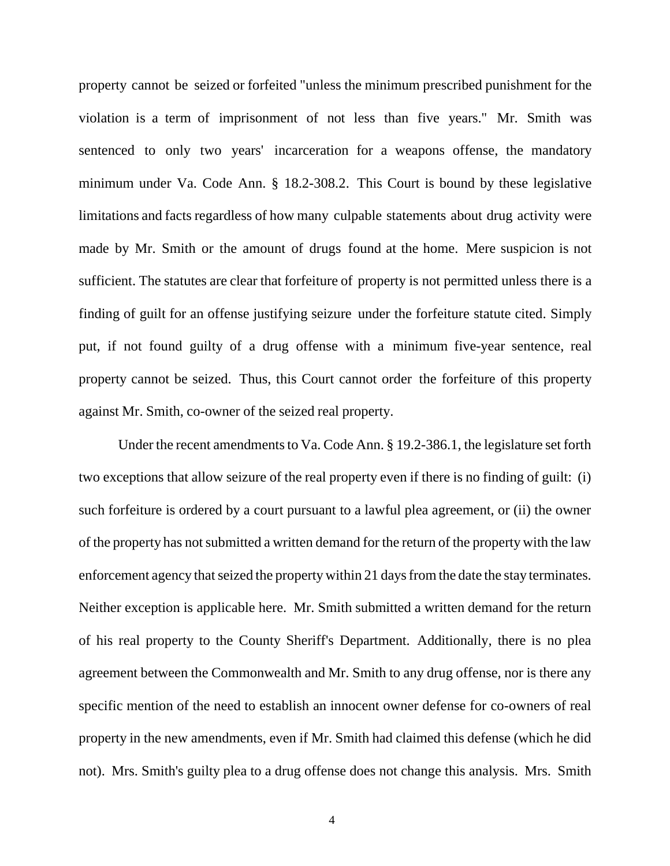property cannot be seized or forfeited "unless the minimum prescribed punishment for the violation is a term of imprisonment of not less than five years." Mr. Smith was sentenced to only two years' incarceration for a weapons offense, the mandatory minimum under Va. Code Ann. § 18.2-308.2. This Court is bound by these legislative limitations and facts regardless of how many culpable statements about drug activity were made by Mr. Smith or the amount of drugs found at the home. Mere suspicion is not sufficient. The statutes are clear that forfeiture of property is not permitted unless there is a finding of guilt for an offense justifying seizure under the forfeiture statute cited. Simply put, if not found guilty of a drug offense with a minimum five-year sentence, real property cannot be seized. Thus, this Court cannot order the forfeiture of this property against Mr. Smith, co-owner of the seized real property.

Under the recent amendments to Va. Code Ann.  $\S 19.2$ -386.1, the legislature set forth two exceptions that allow seizure of the real property even if there is no finding of guilt: (i) such forfeiture is ordered by a court pursuant to a lawful plea agreement, or (ii) the owner of the property has not submitted a written demand for the return of the property with the law enforcement agency that seized the property within 21 days from the date the stay terminates. Neither exception is applicable here. Mr. Smith submitted a written demand for the return of his real property to the County Sheriff's Department. Additionally, there is no plea agreement between the Commonwealth and Mr. Smith to any drug offense, nor is there any specific mention of the need to establish an innocent owner defense for co-owners of real property in the new amendments, even if Mr. Smith had claimed this defense (which he did not). Mrs. Smith's guilty plea to a drug offense does not change this analysis. Mrs. Smith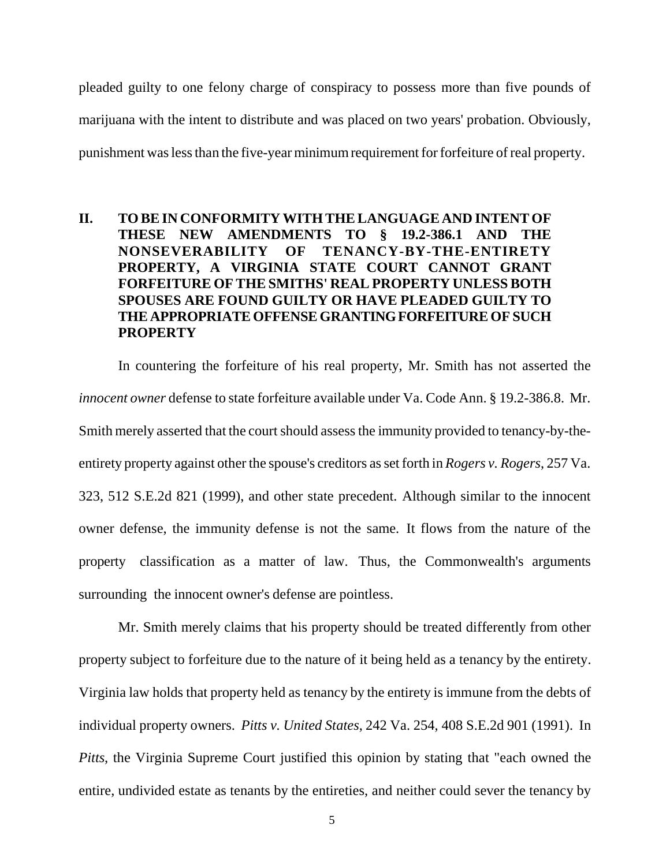pleaded guilty to one felony charge of conspiracy to possess more than five pounds of marijuana with the intent to distribute and was placed on two years' probation. Obviously, punishment was less than the five-year minimum requirement for forfeiture of real property.

## **II. TO BEIN CONFORMITY WITH THELANGUAGE AND INTENT OF THESE NEW AMENDMENTS TO § 19.2-386.1 AND THE NONSEVERABILITY OF TENANCY-BY-THE-ENTIRETY PROPERTY, A VIRGINIA STATE COURT CANNOT GRANT FORFEITURE OF THESMITHS' REAL PROPERTY UNLESS BOTH SPOUSES ARE FOUND GUILTY OR HAVE PLEADED GUILTY TO THE APPROPRIATE OFFENSE GRANTINGFORFEITURE OF SUCH PROPERTY**

In countering the forfeiture of his real property, Mr. Smith has not asserted the *innocent owner* defense to state forfeiture available under Va. Code Ann. § 19.2-386.8. Mr. Smith merely asserted that the court should assessthe immunity provided to tenancy-by-theentirety property against other the spouse's creditors asset forth in *Rogers v. Rogers*, 257 Va. 323, 512 S.E.2d 821 (1999), and other state precedent. Although similar to the innocent owner defense, the immunity defense is not the same. It flows from the nature of the property classification as a matter of law. Thus, the Commonwealth's arguments surrounding the innocent owner's defense are pointless.

Mr. Smith merely claims that his property should be treated differently from other property subject to forfeiture due to the nature of it being held as a tenancy by the entirety. Virginia law holds that property held as tenancy by the entirety is immune from the debts of individual property owners. *Pitts v. United States*, 242 Va. 254, 408 S.E.2d 901 (1991). In *Pitts*, the Virginia Supreme Court justified this opinion by stating that "each owned the entire, undivided estate as tenants by the entireties, and neither could sever the tenancy by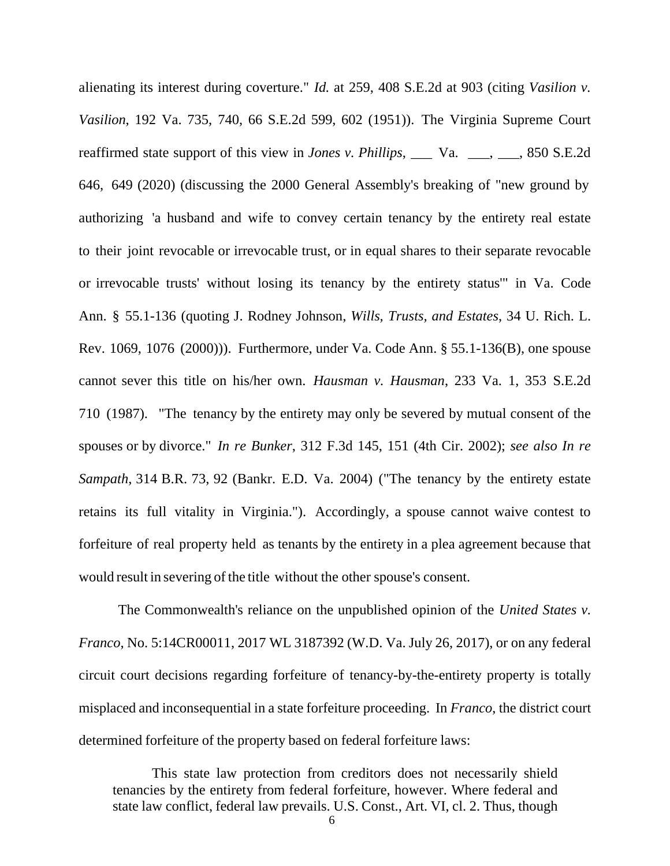alienating its interest during coverture." *Id.* at 259, 408 S.E.2d at 903 (citing *Vasilion v. Vasilion*, 192 Va. 735, 740, 66 S.E.2d 599, 602 (1951)). The Virginia Supreme Court reaffirmed state support of this view in *Jones v. Phillips*, \_\_\_ Va. \_\_, \_\_, 850 S.E.2d 646, 649 (2020) (discussing the 2000 General Assembly's breaking of "new ground by authorizing 'a husband and wife to convey certain tenancy by the entirety real estate to their joint revocable or irrevocable trust, or in equal shares to their separate revocable or irrevocable trusts' without losing its tenancy by the entirety status'" in Va. Code Ann. § 55.1-136 (quoting J. Rodney Johnson, *Wills, Trusts, and Estates*, 34 U. Rich. L. Rev. 1069, 1076 (2000))). Furthermore, under Va. Code Ann. § 55.1-136(B), one spouse cannot sever this title on his/her own. *Hausman v. Hausman*, 233 Va. 1, 353 S.E.2d 710 (1987). "The tenancy by the entirety may only be severed by mutual consent of the spouses or by divorce." *In re Bunker*, 312 F.3d 145, 151 (4th Cir. 2002); *see also In re Sampath*, 314 B.R. 73, 92 (Bankr. E.D. Va. 2004) ("The tenancy by the entirety estate retains its full vitality in Virginia."). Accordingly, a spouse cannot waive contest to forfeiture of real property held as tenants by the entirety in a plea agreement because that would result in severing of the title without the other spouse's consent.

The Commonwealth's reliance on the unpublished opinion of the *United States v. Franco*, No. 5:14CR00011, 2017 WL 3187392 (W.D. Va. July 26, 2017), or on any federal circuit court decisions regarding forfeiture of tenancy-by-the-entirety property is totally misplaced and inconsequential in a state forfeiture proceeding. In *Franco*, the district court determined forfeiture of the property based on federal forfeiture laws:

This state law protection from creditors does not necessarily shield tenancies by the entirety from federal forfeiture, however. Where federal and state law conflict, federal law prevails. U.S. Const., Art. VI, cl. 2. Thus, though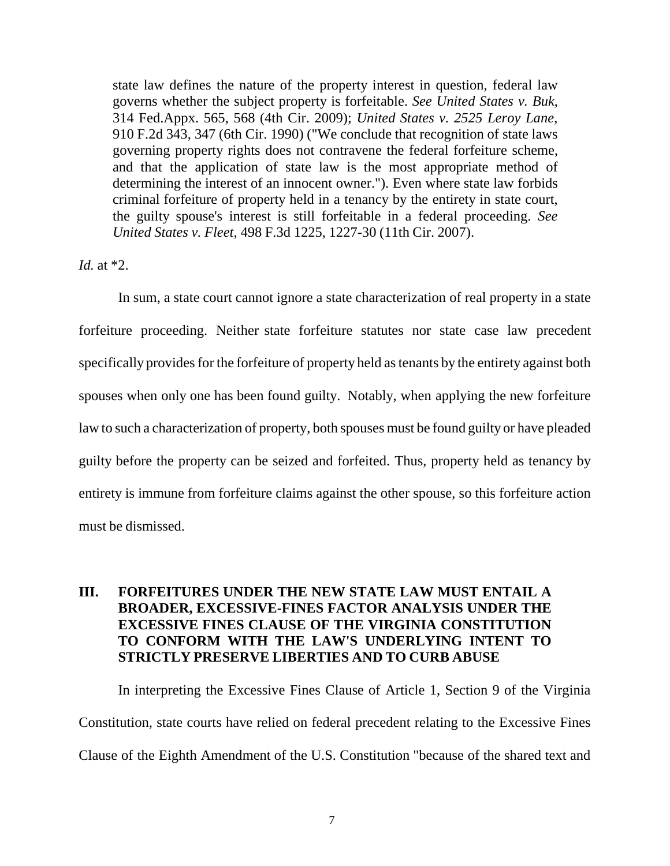state law defines the nature of the property interest in question, federal law governs whether the subject property is forfeitable. *See United States v. Buk*, 314 Fed.Appx. 565, 568 (4th Cir. 2009); *United States v. 2525 Leroy Lane*, 910 F.2d 343, 347 (6th Cir. 1990) ("We conclude that recognition of state laws governing property rights does not contravene the federal forfeiture scheme, and that the application of state law is the most appropriate method of determining the interest of an innocent owner."). Even where state law forbids criminal forfeiture of property held in a tenancy by the entirety in state court, the guilty spouse's interest is still forfeitable in a federal proceeding. *See United States v. Fleet*, 498 F.3d 1225, 1227-30 (11th Cir. 2007).

#### *Id.* at \*2.

In sum, a state court cannot ignore a state characterization of real property in a state forfeiture proceeding. Neither state forfeiture statutes nor state case law precedent specifically provides for the forfeiture of property held as tenants by the entirety against both spouses when only one has been found guilty. Notably, when applying the new forfeiture law to such a characterization of property, both spouses must be found guilty or have pleaded guilty before the property can be seized and forfeited. Thus, property held as tenancy by entirety is immune from forfeiture claims against the other spouse, so this forfeiture action must be dismissed.

### **III. FORFEITURES UNDER THE NEW STATE LAW MUST ENTAIL A BROADER, EXCESSIVE-FINES FACTOR ANALYSIS UNDER THE EXCESSIVE FINES CLAUSE OF THE VIRGINIA CONSTITUTION TO CONFORM WITH THE LAW'S UNDERLYING INTENT TO STRICTLY PRESERVE LIBERTIES AND TO CURB ABUSE**

In interpreting the Excessive Fines Clause of Article 1, Section 9 of the Virginia Constitution, state courts have relied on federal precedent relating to the Excessive Fines Clause of the Eighth Amendment of the U.S. Constitution "because of the shared text and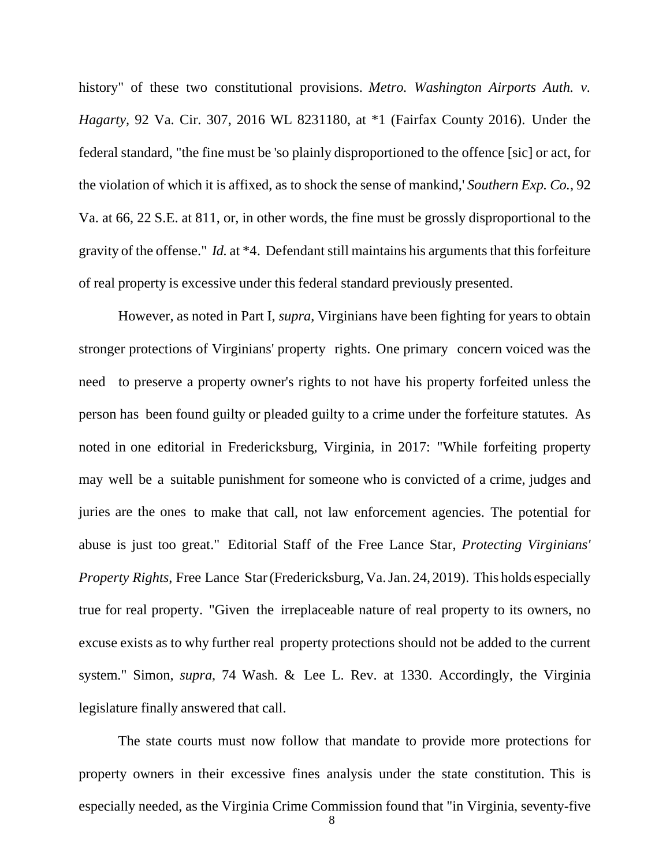history" of these two constitutional provisions. *Metro. Washington Airports Auth. v. Hagarty,* 92 Va. Cir. 307, 2016 WL 8231180, at \*1 (Fairfax County 2016). Under the federal standard, "the fine must be 'so plainly disproportioned to the offence [sic] or act, for the violation of which it is affixed, as to shock the sense of mankind,' *Southern Exp. Co.*, 92 Va. at 66, 22 S.E. at 811, or, in other words, the fine must be grossly disproportional to the gravity of the offense." *Id.* at \*4. Defendant still maintains his arguments that this forfeiture of real property is excessive under this federal standard previously presented.

However, as noted in Part I, *supra*, Virginians have been fighting for years to obtain stronger protections of Virginians' property rights. One primary concern voiced was the need to preserve a property owner's rights to not have his property forfeited unless the person has been found guilty or pleaded guilty to a crime under the forfeiture statutes. As noted in one editorial in Fredericksburg, Virginia, in 2017: "While forfeiting property may well be a suitable punishment for someone who is convicted of a crime, judges and juries are the ones to make that call, not law enforcement agencies. The potential for abuse is just too great." Editorial Staff of the Free Lance Star, *Protecting Virginians' Property Rights*, Free Lance Star(Fredericksburg, Va.Jan. 24, 2019). This holds especially true for real property. "Given the irreplaceable nature of real property to its owners, no excuse exists as to why further real property protections should not be added to the current system." Simon, *supra*, 74 Wash. & Lee L. Rev. at 1330. Accordingly, the Virginia legislature finally answered that call.

The state courts must now follow that mandate to provide more protections for property owners in their excessive fines analysis under the state constitution. This is especially needed, as the Virginia Crime Commission found that "in Virginia, seventy-five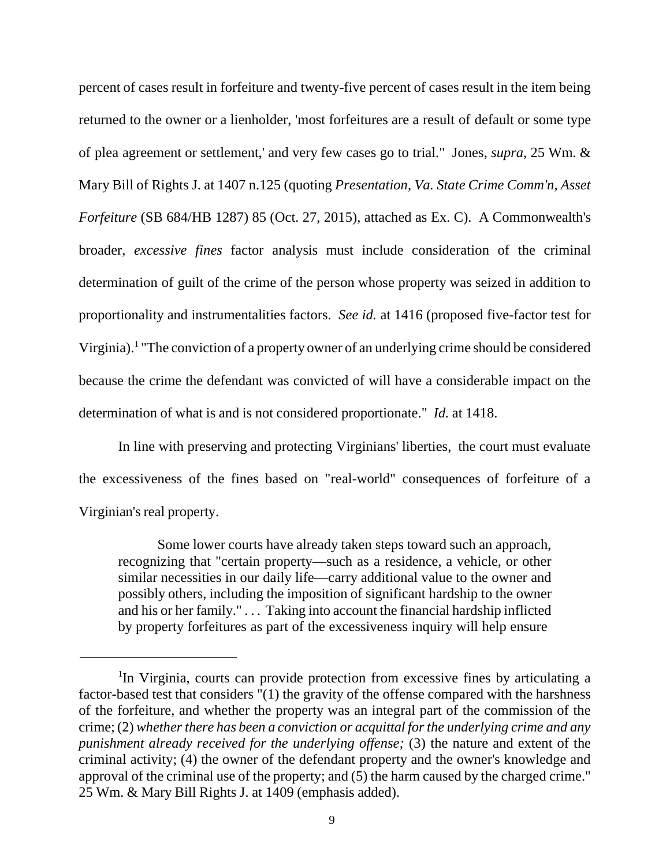percent of cases result in forfeiture and twenty-five percent of cases result in the item being returned to the owner or a lienholder, 'most forfeitures are a result of default or some type of plea agreement or settlement,' and very few cases go to trial." Jones, *supra*, 25 Wm. & Mary Bill of Rights J. at 1407 n.125 (quoting *Presentation, Va. State Crime Comm'n, Asset Forfeiture* (SB 684/HB 1287) 85 (Oct. 27, 2015), attached as Ex. C). A Commonwealth's broader, *excessive fines* factor analysis must include consideration of the criminal determination of guilt of the crime of the person whose property was seized in addition to proportionality and instrumentalities factors. *See id.* at 1416 (proposed five-factor test for Virginia).1 "The conviction of a property owner of an underlying crime should be considered because the crime the defendant was convicted of will have a considerable impact on the determination of what is and is not considered proportionate." *Id.* at 1418.

In line with preserving and protecting Virginians' liberties, the court must evaluate the excessiveness of the fines based on "real-world" consequences of forfeiture of a Virginian's real property.

Some lower courts have already taken steps toward such an approach, recognizing that "certain property—such as a residence, a vehicle, or other similar necessities in our daily life—carry additional value to the owner and possibly others, including the imposition of significant hardship to the owner and his or her family." . . . Taking into account the financial hardship inflicted by property forfeitures as part of the excessiveness inquiry will help ensure

<sup>&</sup>lt;sup>1</sup>In Virginia, courts can provide protection from excessive fines by articulating a factor-based test that considers "(1) the gravity of the offense compared with the harshness of the forfeiture, and whether the property was an integral part of the commission of the crime; (2) *whetherthere has been a conviction or acquittal forthe underlying crime and any punishment already received for the underlying offense;* (3) the nature and extent of the criminal activity; (4) the owner of the defendant property and the owner's knowledge and approval of the criminal use of the property; and (5) the harm caused by the charged crime." 25 Wm. & Mary Bill Rights J. at 1409 (emphasis added).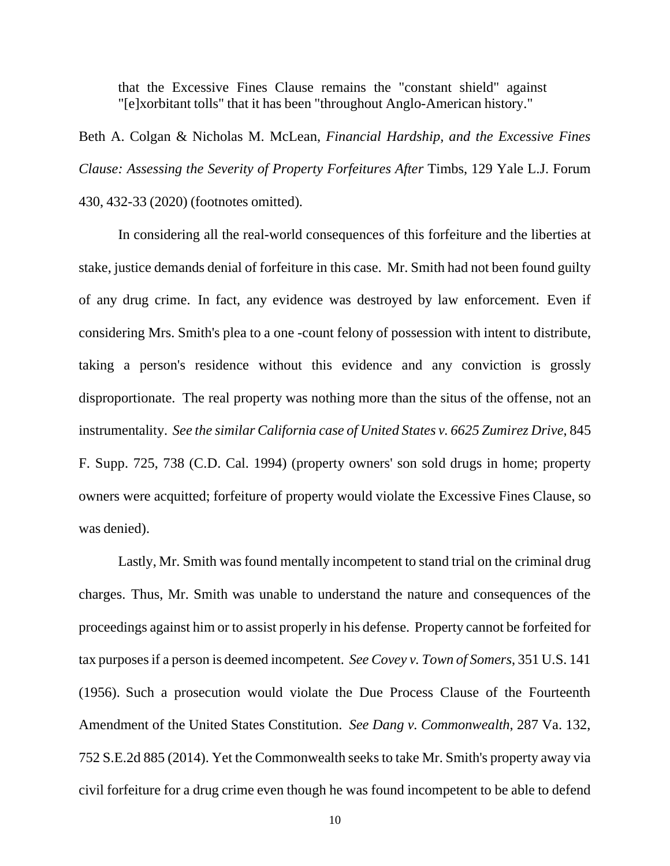that the Excessive Fines Clause remains the "constant shield" against "[e]xorbitant tolls" that it has been "throughout Anglo-American history."

Beth A. Colgan & Nicholas M. McLean, *Financial Hardship, and the Excessive Fines Clause: Assessing the Severity of Property Forfeitures After* Timbs, 129 Yale L.J. Forum 430, 432-33 (2020) (footnotes omitted).

In considering all the real-world consequences of this forfeiture and the liberties at stake, justice demands denial of forfeiture in this case. Mr. Smith had not been found guilty of any drug crime. In fact, any evidence was destroyed by law enforcement. Even if considering Mrs. Smith's plea to a one -count felony of possession with intent to distribute, taking a person's residence without this evidence and any conviction is grossly disproportionate. The real property was nothing more than the situs of the offense, not an instrumentality. *See the similar California case of United States v. 6625 Zumirez Drive*, 845 F. Supp. 725, 738 (C.D. Cal. 1994) (property owners' son sold drugs in home; property owners were acquitted; forfeiture of property would violate the Excessive Fines Clause, so was denied).

Lastly, Mr. Smith was found mentally incompetent to stand trial on the criminal drug charges. Thus, Mr. Smith was unable to understand the nature and consequences of the proceedings against him or to assist properly in his defense. Property cannot be forfeited for tax purposesif a person is deemed incompetent. *See Covey v. Town of Somers*, 351 U.S. 141 (1956). Such a prosecution would violate the Due Process Clause of the Fourteenth Amendment of the United States Constitution. *See Dang v. Commonwealth*, 287 Va. 132, 752 S.E.2d 885 (2014). Yet the Commonwealth seeks to take Mr. Smith's property away via civil forfeiture for a drug crime even though he was found incompetent to be able to defend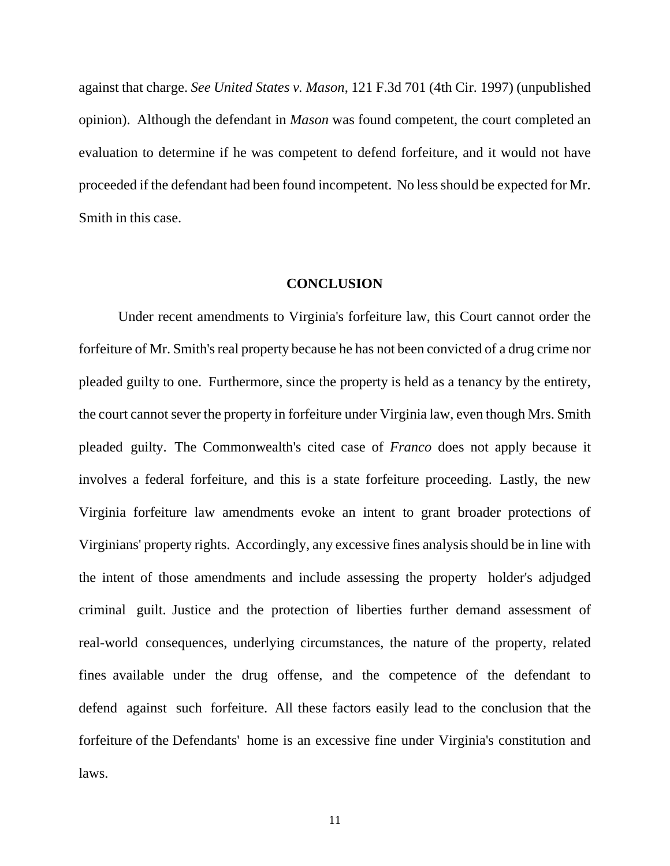against that charge. *See United States v. Mason*, 121 F.3d 701 (4th Cir. 1997) (unpublished opinion). Although the defendant in *Mason* was found competent, the court completed an evaluation to determine if he was competent to defend forfeiture, and it would not have proceeded if the defendant had been found incompetent. No lessshould be expected for Mr. Smith in this case.

#### **CONCLUSION**

Under recent amendments to Virginia's forfeiture law, this Court cannot order the forfeiture of Mr. Smith's real property because he has not been convicted of a drug crime nor pleaded guilty to one. Furthermore, since the property is held as a tenancy by the entirety, the court cannot sever the property in forfeiture under Virginia law, even though Mrs. Smith pleaded guilty. The Commonwealth's cited case of *Franco* does not apply because it involves a federal forfeiture, and this is a state forfeiture proceeding. Lastly, the new Virginia forfeiture law amendments evoke an intent to grant broader protections of Virginians' property rights. Accordingly, any excessive fines analysisshould be in line with the intent of those amendments and include assessing the property holder's adjudged criminal guilt. Justice and the protection of liberties further demand assessment of real-world consequences, underlying circumstances, the nature of the property, related fines available under the drug offense, and the competence of the defendant to defend against such forfeiture. All these factors easily lead to the conclusion that the forfeiture of the Defendants' home is an excessive fine under Virginia's constitution and laws.